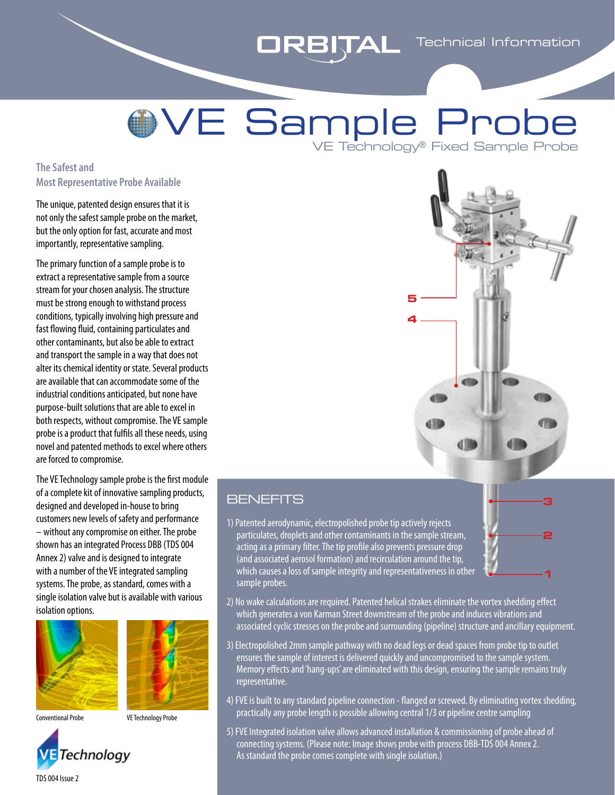## **ORBITAL** Technical Information

# VE Sample Probe VE Technology® Fixed Sample Probe

#### **The Safest and Most Representative Probe Available**

The unique, patented design ensures that it is not only the safest sample probe on the market, but the only option for fast, accurate and most importantly, representative sampling.

The primary function of a sample probe is to extract a representative sample from a source stream for your chosen analysis. The structure must be strong enough to withstand process conditions, typically involving high pressure and fast flowing fluid, containing particulates and other contaminants, but also be able to extract and transport the sample in a way that does not alter its chemical identity or state. Several products are available that can accommodate some of the industrial conditions anticipated, but none have purpose-built solutions that are able to excel in both respects, without compromise. The VE sample probe is a product that fulfils all these needs, using novel and patented methods to excel where others are forced to compromise.

The VE Technology sample probe is the first module of a complete kit of innovative sampling products, designed and developed in-house to bring customers new levels of safety and performance – without any compromise on either. The probe shown has an integrated Process DBB (TDS 004 Annex 2) valve and is designed to integrate with a number of the VE integrated sampling systems. The probe, as standard, comes with a single isolation valve but is available with various isolation options.







Conventional Probe VE Technology Probe



### **BENEFITS**

1) Patented aerodynamic, electropolished probe tip actively rejects particulates, droplets and other contaminants in the sample stream, acting as a primary filter. The tip profile also prevents pressure drop (and associated aerosol formation) and recirculation around the tip, which causes a loss of sample integrity and representativeness in other sample probes.



- 2) No wake calculations are required. Patented helical strakes eliminate the vortex shedding effect which generates a von Karman Street downstream of the probe and induces vibrations and associated cyclic stresses on the probe and surrounding (pipeline) structure and ancillary equipment.
- 3) Electropolished 2mm sample pathway with no dead legs or dead spaces from probe tip to outlet ensures the sample of interest is delivered quickly and uncompromised to the sample system. Memory effects and 'hang-ups' are eliminated with this design, ensuring the sample remains truly representative.
- 4) FVE is built to any standard pipeline connection flanged or screwed. By eliminating vortex shedding, practically any probe length is possible allowing central 1/3 or pipeline centre sampling
- 5) FVE Integrated isolation valve allows advanced installation & commissioning of probe ahead of connecting systems. (Please note: Image shows probe with process DBB-TDS 004 Annex 2. As standard the probe comes complete with single isolation.)

TDS 004 Issue 2